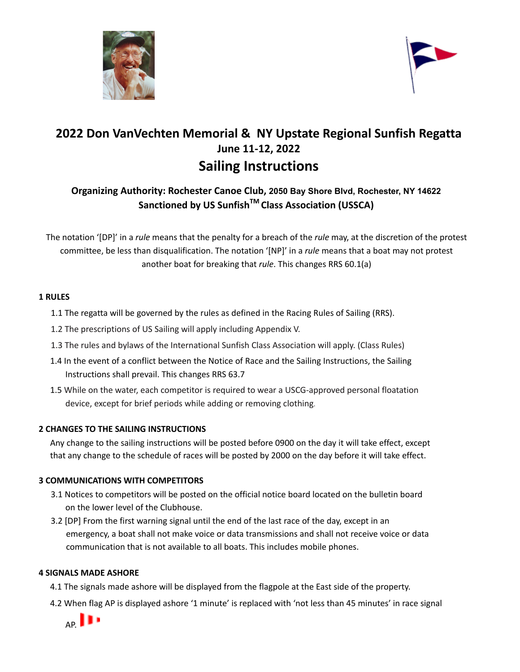



# **2022 Don VanVechten Memorial & NY Upstate Regional Sunfish Regatta June 11-12, 2022 Sailing Instructions**

### **Organizing Authority: Rochester Canoe Club, 2050 Bay Shore Blvd, Rochester, NY 14622 Sanctioned by US Sunfish TM Class Association (USSCA)**

The notation '[DP]' in a *rule* means that the penalty for a breach of the *rule* may, at the discretion of the protest committee, be less than disqualification. The notation '[NP]' in a *rule* means that a boat may not protest another boat for breaking that *rule*. This changes RRS 60.1(a)

#### **1 RULES**

- 1.1 The regatta will be governed by the rules as defined in the Racing Rules of Sailing (RRS).
- 1.2 The prescriptions of US Sailing will apply including Appendix V.
- 1.3 The rules and bylaws of the International Sunfish Class Association will apply. (Class Rules)
- 1.4 In the event of a conflict between the Notice of Race and the Sailing Instructions, the Sailing Instructions shall prevail. This changes RRS 63.7
- 1.5 While on the water, each competitor is required to wear a USCG-approved personal floatation device, except for brief periods while adding or removing clothing.

#### **2 CHANGES TO THE SAILING INSTRUCTIONS**

Any change to the sailing instructions will be posted before 0900 on the day it will take effect, except that any change to the schedule of races will be posted by 2000 on the day before it will take effect.

#### **3 COMMUNICATIONS WITH COMPETITORS**

- 3.1 Notices to competitors will be posted on the official notice board located on the bulletin board on the lower level of the Clubhouse.
- 3.2 [DP] From the first warning signal until the end of the last race of the day, except in an emergency, a boat shall not make voice or data transmissions and shall not receive voice or data communication that is not available to all boats. This includes mobile phones.

#### **4 SIGNALS MADE ASHORE**

- 4.1 The signals made ashore will be displayed from the flagpole at the East side of the property.
- 4.2 When flag AP is displayed ashore '1 minute' is replaced with 'not less than 45 minutes' in race signal

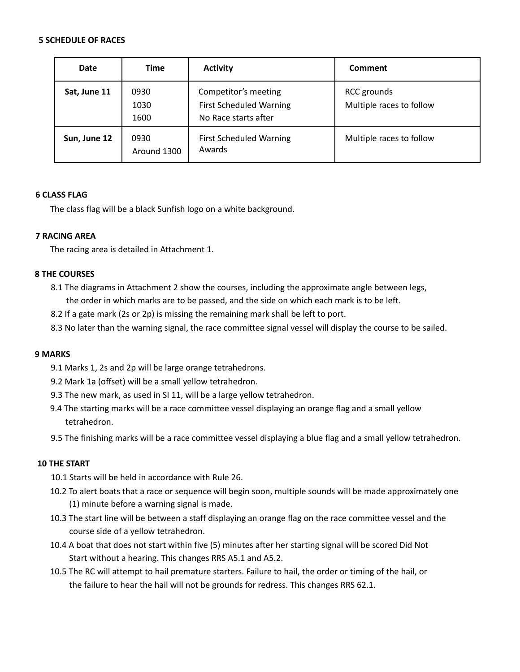#### **5 SCHEDULE OF RACES**

| Date         | <b>Time</b>          | <b>Activity</b>                                                                | Comment                                        |
|--------------|----------------------|--------------------------------------------------------------------------------|------------------------------------------------|
| Sat, June 11 | 0930<br>1030<br>1600 | Competitor's meeting<br><b>First Scheduled Warning</b><br>No Race starts after | <b>RCC</b> grounds<br>Multiple races to follow |
| Sun, June 12 | 0930<br>Around 1300  | <b>First Scheduled Warning</b><br>Awards                                       | Multiple races to follow                       |

#### **6 CLASS FLAG**

The class flag will be a black Sunfish logo on a white background.

#### **7 RACING AREA**

The racing area is detailed in Attachment 1.

#### **8 THE COURSES**

- 8.1 The diagrams in Attachment 2 show the courses, including the approximate angle between legs, the order in which marks are to be passed, and the side on which each mark is to be left.
- 8.2 If a gate mark (2s or 2p) is missing the remaining mark shall be left to port.
- 8.3 No later than the warning signal, the race committee signal vessel will display the course to be sailed.

#### **9 MARKS**

- 9.1 Marks 1, 2s and 2p will be large orange tetrahedrons.
- 9.2 Mark 1a (offset) will be a small yellow tetrahedron.
- 9.3 The new mark, as used in SI 11, will be a large yellow tetrahedron.
- 9.4 The starting marks will be a race committee vessel displaying an orange flag and a small yellow tetrahedron.
- 9.5 The finishing marks will be a race committee vessel displaying a blue flag and a small yellow tetrahedron.

#### **10 THE START**

- 10.1 Starts will be held in accordance with Rule 26.
- 10.2 To alert boats that a race or sequence will begin soon, multiple sounds will be made approximately one (1) minute before a warning signal is made.
- 10.3 The start line will be between a staff displaying an orange flag on the race committee vessel and the course side of a yellow tetrahedron.
- 10.4 A boat that does not start within five (5) minutes after her starting signal will be scored Did Not Start without a hearing. This changes RRS A5.1 and A5.2.
- 10.5 The RC will attempt to hail premature starters. Failure to hail, the order or timing of the hail, or the failure to hear the hail will not be grounds for redress. This changes RRS 62.1.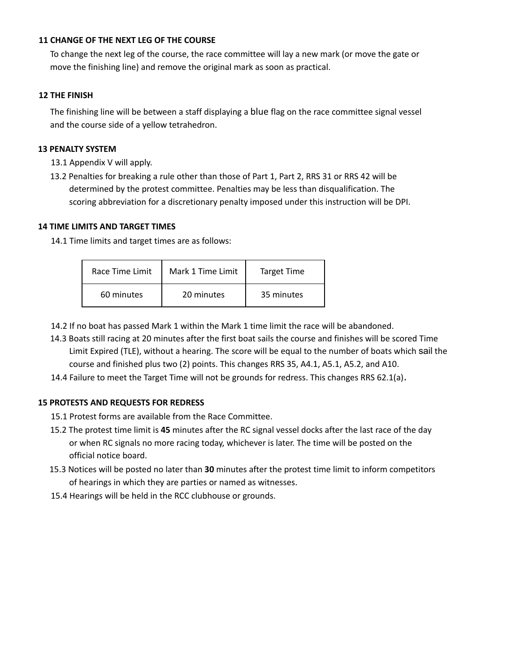#### **11 CHANGE OF THE NEXT LEG OF THE COURSE**

To change the next leg of the course, the race committee will lay a new mark (or move the gate or move the finishing line) and remove the original mark as soon as practical.

#### **12 THE FINISH**

The finishing line will be between a staff displaying a blue flag on the race committee signal vessel and the course side of a yellow tetrahedron.

#### **13 PENALTY SYSTEM**

13.1 Appendix V will apply.

13.2 Penalties for breaking a rule other than those of Part 1, Part 2, RRS 31 or RRS 42 will be determined by the protest committee. Penalties may be less than disqualification. The scoring abbreviation for a discretionary penalty imposed under this instruction will be DPI.

#### **14 TIME LIMITS AND TARGET TIMES**

14.1 Time limits and target times are as follows:

| Race Time Limit | Mark 1 Time Limit | <b>Target Time</b> |
|-----------------|-------------------|--------------------|
| 60 minutes      | 20 minutes        | 35 minutes         |

- 14.2 If no boat has passed Mark 1 within the Mark 1 time limit the race will be abandoned.
- 14.3 Boats still racing at 20 minutes after the first boat sails the course and finishes will be scored Time Limit Expired (TLE), without a hearing. The score will be equal to the number of boats which sail the course and finished plus two (2) points. This changes RRS 35, A4.1, A5.1, A5.2, and A10.
- 14.4 Failure to meet the Target Time will not be grounds for redress. This changes RRS 62.1(a).

#### **15 PROTESTS AND REQUESTS FOR REDRESS**

- 15.1 Protest forms are available from the Race Committee.
- 15.2 The protest time limit is **45** minutes after the RC signal vessel docks after the last race of the day or when RC signals no more racing today, whichever is later. The time will be posted on the official notice board.
- 15.3 Notices will be posted no later than **30** minutes after the protest time limit to inform competitors of hearings in which they are parties or named as witnesses.
- 15.4 Hearings will be held in the RCC clubhouse or grounds.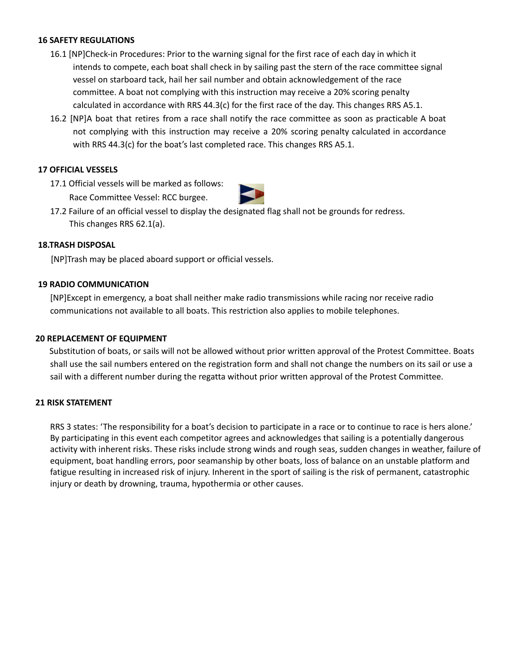#### **16 SAFETY REGULATIONS**

- 16.1 [NP]Check-in Procedures: Prior to the warning signal for the first race of each day in which it intends to compete, each boat shall check in by sailing past the stern of the race committee signal vessel on starboard tack, hail her sail number and obtain acknowledgement of the race committee. A boat not complying with this instruction may receive a 20% scoring penalty calculated in accordance with RRS 44.3(c) for the first race of the day. This changes RRS A5.1.
- 16.2 [NP]A boat that retires from a race shall notify the race committee as soon as practicable A boat not complying with this instruction may receive a 20% scoring penalty calculated in accordance with RRS 44.3(c) for the boat's last completed race. This changes RRS A5.1.

#### **17 OFFICIAL VESSELS**

17.1 Official vessels will be marked as follows: Race Committee Vessel: RCC burgee.



17.2 Failure of an official vessel to display the designated flag shall not be grounds for redress. This changes RRS 62.1(a).

#### **18.TRASH DISPOSAL**

[NP]Trash may be placed aboard support or official vessels.

#### **19 RADIO COMMUNICATION**

[NP]Except in emergency, a boat shall neither make radio transmissions while racing nor receive radio communications not available to all boats. This restriction also applies to mobile telephones.

#### **20 REPLACEMENT OF EQUIPMENT**

Substitution of boats, or sails will not be allowed without prior written approval of the Protest Committee. Boats shall use the sail numbers entered on the registration form and shall not change the numbers on its sail or use a sail with a different number during the regatta without prior written approval of the Protest Committee.

#### **21 RISK STATEMENT**

RRS 3 states: 'The responsibility for a boat's decision to participate in a race or to continue to race is hers alone.' By participating in this event each competitor agrees and acknowledges that sailing is a potentially dangerous activity with inherent risks. These risks include strong winds and rough seas, sudden changes in weather, failure of equipment, boat handling errors, poor seamanship by other boats, loss of balance on an unstable platform and fatigue resulting in increased risk of injury. Inherent in the sport of sailing is the risk of permanent, catastrophic injury or death by drowning, trauma, hypothermia or other causes.